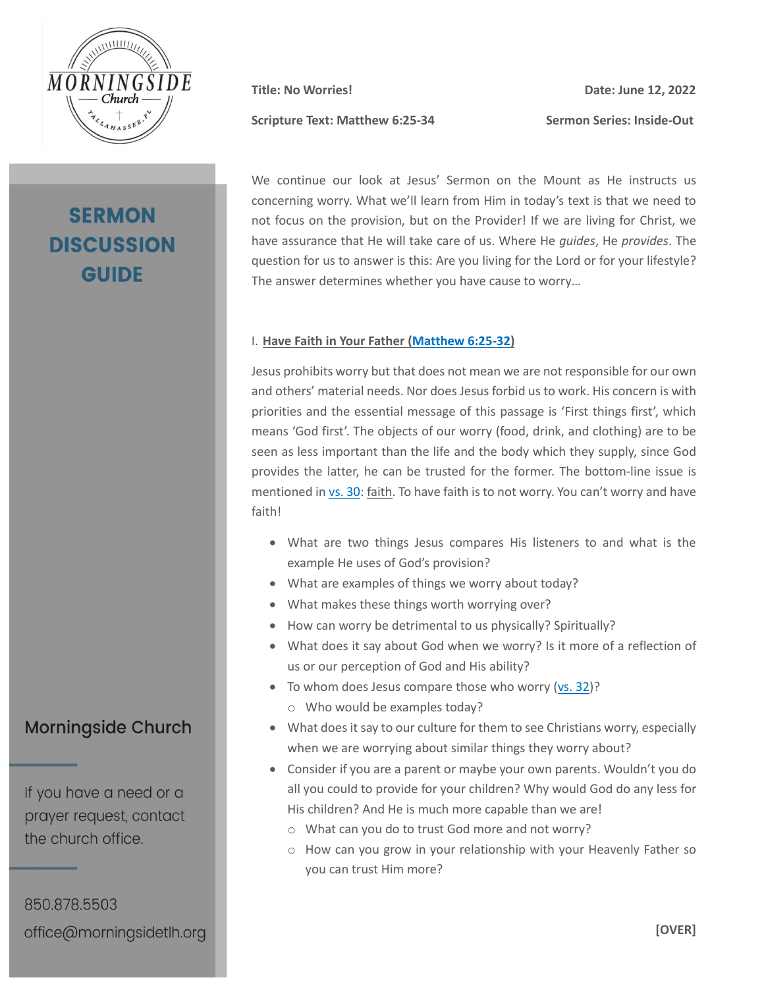

# **SERMON DISCUSSION GUIDE**

Scripture Text: Matthew 6:25-34 Sermon Series: Inside-Out

**Title: No Worries! Date: June 12, 2022**

We continue our look at Jesus' Sermon on the Mount as He instructs us concerning worry. What we'll learn from Him in today's text is that we need to not focus on the provision, but on the Provider! If we are living for Christ, we have assurance that He will take care of us. Where He *guides*, He *provides*. The question for us to answer is this: Are you living for the Lord or for your lifestyle? The answer determines whether you have cause to worry…

#### I. **Have Faith in Your Father [\(Matthew 6:25-32\)](https://my.bible.com/bible/2692/MAT.6.25-32.nasb2020)**

Jesus prohibits worry but that does not mean we are not responsible for our own and others' material needs. Nor does Jesus forbid us to work. His concern is with priorities and the essential message of this passage is 'First things first', which means 'God first'. The objects of our worry (food, drink, and clothing) are to be seen as less important than the life and the body which they supply, since God provides the latter, he can be trusted for the former. The bottom-line issue is mentioned i[n vs. 30:](https://my.bible.com/bible/2692/MAT.6.30.nasb2020) faith. To have faith is to not worry. You can't worry and have faith!

- What are two things Jesus compares His listeners to and what is the example He uses of God's provision?
- What are examples of things we worry about today?
- What makes these things worth worrying over?
- How can worry be detrimental to us physically? Spiritually?
- What does it say about God when we worry? Is it more of a reflection of us or our perception of God and His ability?
- To whom does Jesus compare those who worry [\(vs. 32\)](https://my.bible.com/bible/2692/MAT.6.32.nasb2020)? o Who would be examples today?
- What does it say to our culture for them to see Christians worry, especially when we are worrying about similar things they worry about?
- Consider if you are a parent or maybe your own parents. Wouldn't you do all you could to provide for your children? Why would God do any less for His children? And He is much more capable than we are!
	- o What can you do to trust God more and not worry?
	- o How can you grow in your relationship with your Heavenly Father so you can trust Him more?

### **Morningside Church**

If you have a need or a prayer request, contact the church office.

850.878.5503 office@morningsidetlh.org